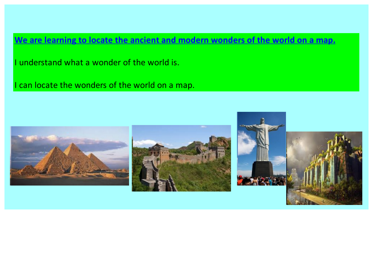**We are learning to locate the ancient and modern wonders of the world on a map.**

I understand what a wonder of the world is.

I can locate the wonders of the world on a map.

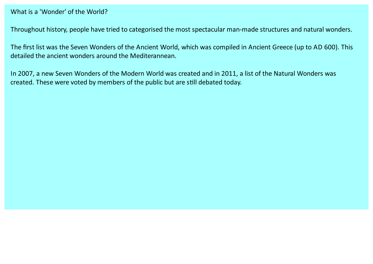#### What is a'Wonder' of the World?

Throughout history, people have tried to categorised the most spectacular man-made structures and natural wonders.

The first list was the Seven Wonders of the Ancient World, which was compiled in Ancient Greece (up to AD 600). This detailed the ancient wonders around the Mediterannean.

In 2007, a new Seven Wonders of the Modern World was created and in 2011, a list of the Natural Wonders was created. These were voted by members of the public but are still debated today.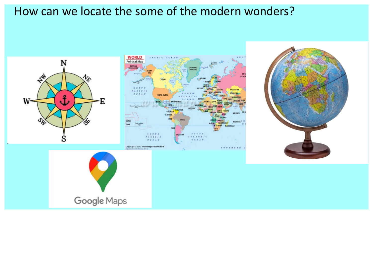# How can we locate the some of the modern wonders?

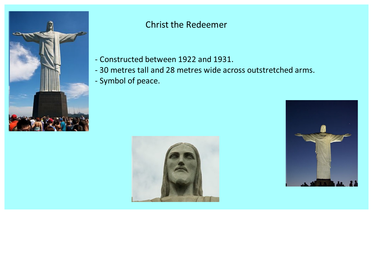

### Christ the Redeemer

- Constructed between 1922 and 1931.
- 30 metres talland 28 metres wide across outstretched arms.
- Symbol of peace.



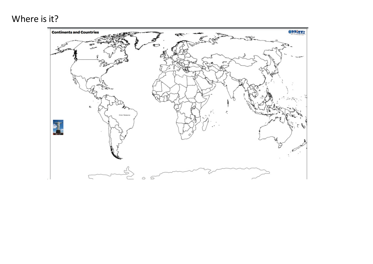# Where is it?

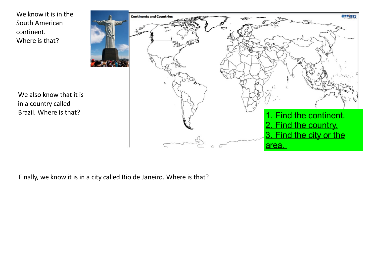We know it is in the South American continent. Where is that?

We also know that it is in a country called Brazil. Where is that?



Finally, we know it is in a city called Rio de Janeiro. Where is that?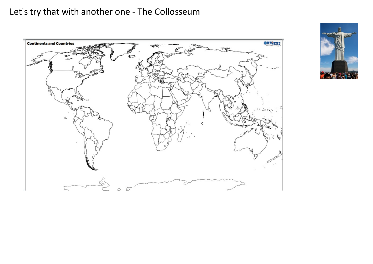## Let's try that with another one - The Collosseum